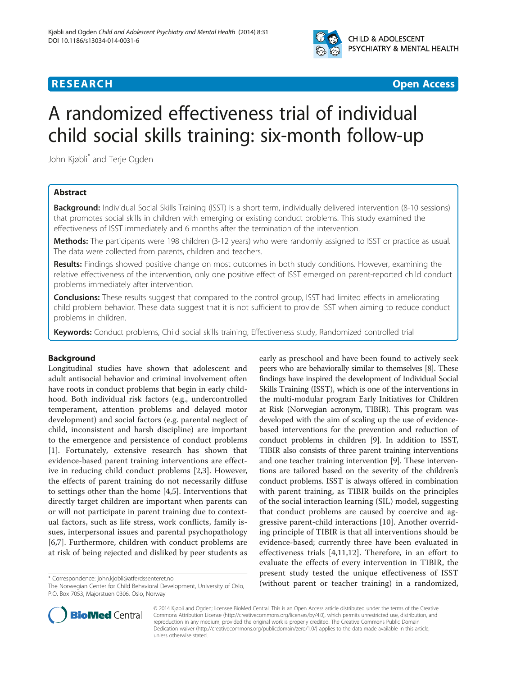

# **RESEARCH CHEAR CHEAR CHEAR CHEAR CHEAR CHEAR CHEAR CHEAR CHEAR CHEAR CHEAR CHEAR CHEAR CHEAR CHEAR CHEAR CHEAR**

# A randomized effectiveness trial of individual child social skills training: six-month follow-up

John Kjøbli<sup>\*</sup> and Terje Ogden

# Abstract

Background: Individual Social Skills Training (ISST) is a short term, individually delivered intervention (8-10 sessions) that promotes social skills in children with emerging or existing conduct problems. This study examined the effectiveness of ISST immediately and 6 months after the termination of the intervention.

Methods: The participants were 198 children (3-12 years) who were randomly assigned to ISST or practice as usual. The data were collected from parents, children and teachers.

Results: Findings showed positive change on most outcomes in both study conditions. However, examining the relative effectiveness of the intervention, only one positive effect of ISST emerged on parent-reported child conduct problems immediately after intervention.

**Conclusions:** These results suggest that compared to the control group, ISST had limited effects in ameliorating child problem behavior. These data suggest that it is not sufficient to provide ISST when aiming to reduce conduct problems in children.

Keywords: Conduct problems, Child social skills training, Effectiveness study, Randomized controlled trial

# Background

Longitudinal studies have shown that adolescent and adult antisocial behavior and criminal involvement often have roots in conduct problems that begin in early childhood. Both individual risk factors (e.g., undercontrolled temperament, attention problems and delayed motor development) and social factors (e.g. parental neglect of child, inconsistent and harsh discipline) are important to the emergence and persistence of conduct problems [[1\]](#page-9-0). Fortunately, extensive research has shown that evidence-based parent training interventions are effective in reducing child conduct problems [[2,3\]](#page-9-0). However, the effects of parent training do not necessarily diffuse to settings other than the home [[4,5](#page-9-0)]. Interventions that directly target children are important when parents can or will not participate in parent training due to contextual factors, such as life stress, work conflicts, family issues, interpersonal issues and parental psychopathology [[6,7](#page-9-0)]. Furthermore, children with conduct problems are at risk of being rejected and disliked by peer students as

early as preschool and have been found to actively seek peers who are behaviorally similar to themselves [\[8\]](#page-9-0). These findings have inspired the development of Individual Social Skills Training (ISST), which is one of the interventions in the multi-modular program Early Initiatives for Children at Risk (Norwegian acronym, TIBIR). This program was developed with the aim of scaling up the use of evidencebased interventions for the prevention and reduction of conduct problems in children [\[9](#page-9-0)]. In addition to ISST, TIBIR also consists of three parent training interventions and one teacher training intervention [[9\]](#page-9-0). These interventions are tailored based on the severity of the children's conduct problems. ISST is always offered in combination with parent training, as TIBIR builds on the principles of the social interaction learning (SIL) model, suggesting that conduct problems are caused by coercive and aggressive parent-child interactions [\[10](#page-9-0)]. Another overriding principle of TIBIR is that all interventions should be evidence-based; currently three have been evaluated in effectiveness trials [\[4,11,12\]](#page-9-0). Therefore, in an effort to evaluate the effects of every intervention in TIBIR, the present study tested the unique effectiveness of ISST (without parent or teacher training) in a randomized, \* Correspondence: [john.kjobli@atferdssenteret.no](mailto:john.kjobli@atferdssenteret.no)



© 2014 Kjøbli and Ogden; licensee BioMed Central. This is an Open Access article distributed under the terms of the Creative Commons Attribution License [\(http://creativecommons.org/licenses/by/4.0\)](http://creativecommons.org/licenses/by/4.0), which permits unrestricted use, distribution, and reproduction in any medium, provided the original work is properly credited. The Creative Commons Public Domain Dedication waiver [\(http://creativecommons.org/publicdomain/zero/1.0/](http://creativecommons.org/publicdomain/zero/1.0/)) applies to the data made available in this article, unless otherwise stated.

The Norwegian Center for Child Behavioral Development, University of Oslo, P.O. Box 7053, Majorstuen 0306, Oslo, Norway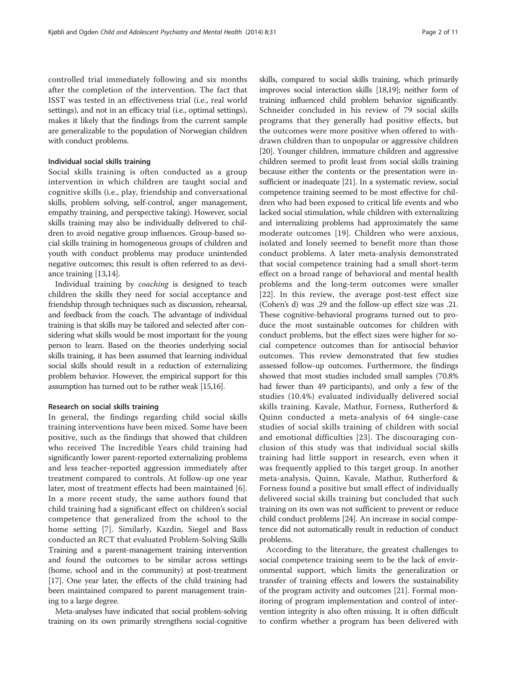controlled trial immediately following and six months after the completion of the intervention. The fact that ISST was tested in an effectiveness trial (i.e., real world settings), and not in an efficacy trial (i.e., optimal settings), makes it likely that the findings from the current sample are generalizable to the population of Norwegian children with conduct problems.

## Individual social skills training

Social skills training is often conducted as a group intervention in which children are taught social and cognitive skills (i.e., play, friendship and conversational skills, problem solving, self-control, anger management, empathy training, and perspective taking). However, social skills training may also be individually delivered to children to avoid negative group influences. Group-based social skills training in homogeneous groups of children and youth with conduct problems may produce unintended negative outcomes; this result is often referred to as deviance training [[13,14\]](#page-9-0).

Individual training by coaching is designed to teach children the skills they need for social acceptance and friendship through techniques such as discussion, rehearsal, and feedback from the coach. The advantage of individual training is that skills may be tailored and selected after considering what skills would be most important for the young person to learn. Based on the theories underlying social skills training, it has been assumed that learning individual social skills should result in a reduction of externalizing problem behavior. However, the empirical support for this assumption has turned out to be rather weak [\[15,16](#page-9-0)].

#### Research on social skills training

In general, the findings regarding child social skills training interventions have been mixed. Some have been positive, such as the findings that showed that children who received The Incredible Years child training had significantly lower parent-reported externalizing problems and less teacher-reported aggression immediately after treatment compared to controls. At follow-up one year later, most of treatment effects had been maintained [\[6](#page-9-0)]. In a more recent study, the same authors found that child training had a significant effect on children's social competence that generalized from the school to the home setting [[7\]](#page-9-0). Similarly, Kazdin, Siegel and Bass conducted an RCT that evaluated Problem-Solving Skills Training and a parent-management training intervention and found the outcomes to be similar across settings (home, school and in the community) at post-treatment [[17](#page-9-0)]. One year later, the effects of the child training had been maintained compared to parent management training to a large degree.

Meta-analyses have indicated that social problem-solving training on its own primarily strengthens social-cognitive

skills, compared to social skills training, which primarily improves social interaction skills [[18,19\]](#page-9-0); neither form of training influenced child problem behavior significantly. Schneider concluded in his review of 79 social skills programs that they generally had positive effects, but the outcomes were more positive when offered to withdrawn children than to unpopular or aggressive children [[20](#page-9-0)]. Younger children, immature children and aggressive children seemed to profit least from social skills training because either the contents or the presentation were insufficient or inadequate [\[21\]](#page-9-0). In a systematic review, social competence training seemed to be most effective for children who had been exposed to critical life events and who lacked social stimulation, while children with externalizing and internalizing problems had approximately the same moderate outcomes [[19\]](#page-9-0). Children who were anxious, isolated and lonely seemed to benefit more than those conduct problems. A later meta-analysis demonstrated that social competence training had a small short-term effect on a broad range of behavioral and mental health problems and the long-term outcomes were smaller [[22\]](#page-9-0). In this review, the average post-test effect size (Cohen's d) was .29 and the follow-up effect size was .21. These cognitive-behavioral programs turned out to produce the most sustainable outcomes for children with conduct problems, but the effect sizes were higher for social competence outcomes than for antisocial behavior outcomes. This review demonstrated that few studies assessed follow-up outcomes. Furthermore, the findings showed that most studies included small samples (70.8% had fewer than 49 participants), and only a few of the studies (10.4%) evaluated individually delivered social skills training. Kavale, Mathur, Forness, Rutherford & Quinn conducted a meta-analysis of 64 single-case studies of social skills training of children with social and emotional difficulties [[23](#page-9-0)]. The discouraging conclusion of this study was that individual social skills training had little support in research, even when it was frequently applied to this target group. In another meta-analysis, Quinn, Kavale, Mathur, Rutherford & Forness found a positive but small effect of individually delivered social skills training but concluded that such training on its own was not sufficient to prevent or reduce child conduct problems [\[24\]](#page-9-0). An increase in social competence did not automatically result in reduction of conduct problems.

According to the literature, the greatest challenges to social competence training seem to be the lack of environmental support, which limits the generalization or transfer of training effects and lowers the sustainability of the program activity and outcomes [[21\]](#page-9-0). Formal monitoring of program implementation and control of intervention integrity is also often missing. It is often difficult to confirm whether a program has been delivered with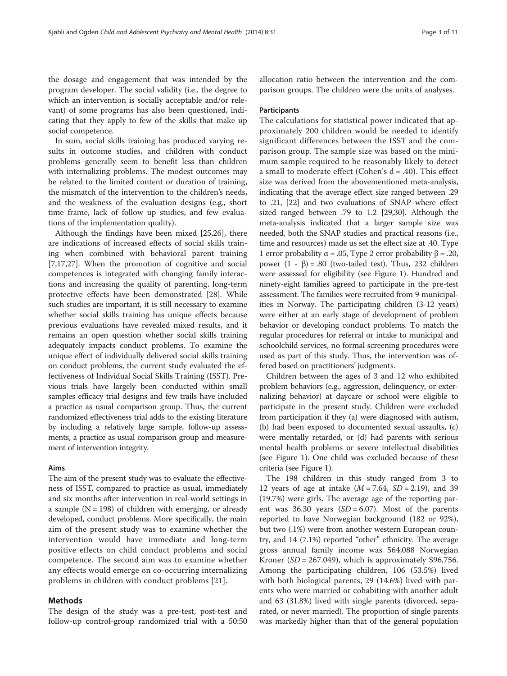the dosage and engagement that was intended by the program developer. The social validity (i.e., the degree to which an intervention is socially acceptable and/or relevant) of some programs has also been questioned, indicating that they apply to few of the skills that make up social competence.

In sum, social skills training has produced varying results in outcome studies, and children with conduct problems generally seem to benefit less than children with internalizing problems. The modest outcomes may be related to the limited content or duration of training, the mismatch of the intervention to the children's needs, and the weakness of the evaluation designs (e.g., short time frame, lack of follow up studies, and few evaluations of the implementation quality).

Although the findings have been mixed [[25,26](#page-9-0)], there are indications of increased effects of social skills training when combined with behavioral parent training [[7,17,27\]](#page-9-0). When the promotion of cognitive and social competences is integrated with changing family interactions and increasing the quality of parenting, long-term protective effects have been demonstrated [[28](#page-9-0)]. While such studies are important, it is still necessary to examine whether social skills training has unique effects because previous evaluations have revealed mixed results, and it remains an open question whether social skills training adequately impacts conduct problems. To examine the unique effect of individually delivered social skills training on conduct problems, the current study evaluated the effectiveness of Individual Social Skills Training (ISST). Previous trials have largely been conducted within small samples efficacy trial designs and few trails have included a practice as usual comparison group. Thus, the current randomized effectiveness trial adds to the existing literature by including a relatively large sample, follow-up assessments, a practice as usual comparison group and measurement of intervention integrity.

#### Aims

The aim of the present study was to evaluate the effectiveness of ISST, compared to practice as usual, immediately and six months after intervention in real-world settings in a sample  $(N = 198)$  of children with emerging, or already developed, conduct problems. More specifically, the main aim of the present study was to examine whether the intervention would have immediate and long-term positive effects on child conduct problems and social competence. The second aim was to examine whether any effects would emerge on co-occurring internalizing problems in children with conduct problems [\[21\]](#page-9-0).

# Methods

The design of the study was a pre-test, post-test and follow-up control-group randomized trial with a 50:50 allocation ratio between the intervention and the comparison groups. The children were the units of analyses.

# **Participants**

The calculations for statistical power indicated that approximately 200 children would be needed to identify significant differences between the ISST and the comparison group. The sample size was based on the minimum sample required to be reasonably likely to detect a small to moderate effect (Cohen's  $d = .40$ ). This effect size was derived from the abovementioned meta-analysis, indicating that the average effect size ranged between .29 to .21, [\[22\]](#page-9-0) and two evaluations of SNAP where effect sized ranged between .79 to 1.2 [\[29,30](#page-9-0)]. Although the meta-analysis indicated that a larger sample size was needed, both the SNAP studies and practical reasons (i.e., time and resources) made us set the effect size at .40. Type 1 error probability  $\alpha$  = .05, Type 2 error probability  $\beta$  = .20, power  $(1 - β) = .80$  (two-tailed test). Thus, 232 children were assessed for eligibility (see Figure [1](#page-3-0)). Hundred and ninety-eight families agreed to participate in the pre-test assessment. The families were recruited from 9 municipalities in Norway. The participating children (3-12 years) were either at an early stage of development of problem behavior or developing conduct problems. To match the regular procedures for referral or intake to municipal and schoolchild services, no formal screening procedures were used as part of this study. Thus, the intervention was offered based on practitioners' judgments.

Children between the ages of 3 and 12 who exhibited problem behaviors (e.g., aggression, delinquency, or externalizing behavior) at daycare or school were eligible to participate in the present study. Children were excluded from participation if they (a) were diagnosed with autism, (b) had been exposed to documented sexual assaults, (c) were mentally retarded, or (d) had parents with serious mental health problems or severe intellectual disabilities (see Figure [1](#page-3-0)). One child was excluded because of these criteria (see Figure [1](#page-3-0)).

The 198 children in this study ranged from 3 to 12 years of age at intake  $(M = 7.64, SD = 2.19)$ , and 39 (19.7%) were girls. The average age of the reporting parent was 36.30 years  $(SD = 6.07)$ . Most of the parents reported to have Norwegian background (182 or 92%), but two (.1%) were from another western European country, and 14 (7.1%) reported "other" ethnicity. The average gross annual family income was 564,088 Norwegian Kroner ( $SD = 267.049$ ), which is approximately \$96,756. Among the participating children, 106 (53.5%) lived with both biological parents, 29 (14.6%) lived with parents who were married or cohabiting with another adult and 63 (31.8%) lived with single parents (divorced, separated, or never married). The proportion of single parents was markedly higher than that of the general population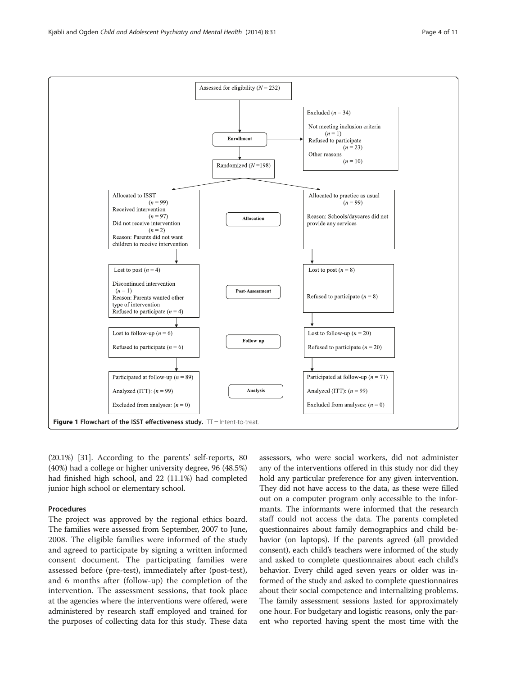<span id="page-3-0"></span>

(20.1%) [\[31](#page-9-0)]. According to the parents' self-reports, 80 (40%) had a college or higher university degree, 96 (48.5%) had finished high school, and 22 (11.1%) had completed junior high school or elementary school.

# Procedures

The project was approved by the regional ethics board. The families were assessed from September, 2007 to June, 2008. The eligible families were informed of the study and agreed to participate by signing a written informed consent document. The participating families were assessed before (pre-test), immediately after (post-test), and 6 months after (follow-up) the completion of the intervention. The assessment sessions, that took place at the agencies where the interventions were offered, were administered by research staff employed and trained for the purposes of collecting data for this study. These data assessors, who were social workers, did not administer any of the interventions offered in this study nor did they hold any particular preference for any given intervention. They did not have access to the data, as these were filled out on a computer program only accessible to the informants. The informants were informed that the research staff could not access the data. The parents completed questionnaires about family demographics and child behavior (on laptops). If the parents agreed (all provided consent), each child's teachers were informed of the study and asked to complete questionnaires about each child's behavior. Every child aged seven years or older was informed of the study and asked to complete questionnaires about their social competence and internalizing problems. The family assessment sessions lasted for approximately one hour. For budgetary and logistic reasons, only the parent who reported having spent the most time with the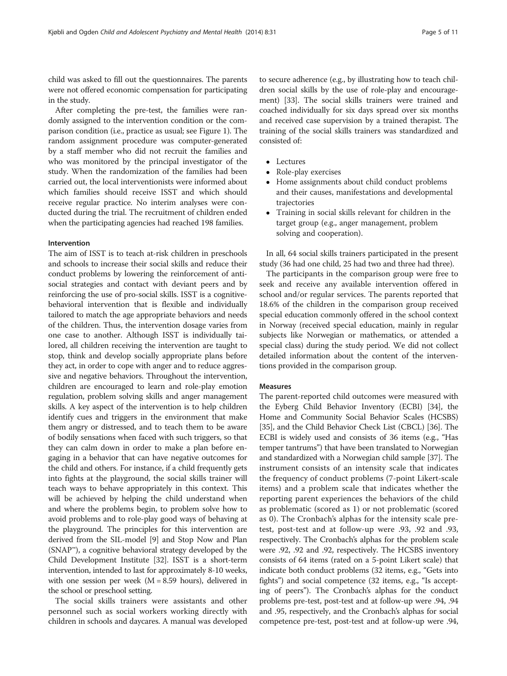child was asked to fill out the questionnaires. The parents were not offered economic compensation for participating in the study.

After completing the pre-test, the families were randomly assigned to the intervention condition or the comparison condition (i.e., practice as usual; see Figure [1\)](#page-3-0). The random assignment procedure was computer-generated by a staff member who did not recruit the families and who was monitored by the principal investigator of the study. When the randomization of the families had been carried out, the local interventionists were informed about which families should receive ISST and which should receive regular practice. No interim analyses were conducted during the trial. The recruitment of children ended when the participating agencies had reached 198 families.

## Intervention

The aim of ISST is to teach at-risk children in preschools and schools to increase their social skills and reduce their conduct problems by lowering the reinforcement of antisocial strategies and contact with deviant peers and by reinforcing the use of pro-social skills. ISST is a cognitivebehavioral intervention that is flexible and individually tailored to match the age appropriate behaviors and needs of the children. Thus, the intervention dosage varies from one case to another. Although ISST is individually tailored, all children receiving the intervention are taught to stop, think and develop socially appropriate plans before they act, in order to cope with anger and to reduce aggressive and negative behaviors. Throughout the intervention, children are encouraged to learn and role-play emotion regulation, problem solving skills and anger management skills. A key aspect of the intervention is to help children identify cues and triggers in the environment that make them angry or distressed, and to teach them to be aware of bodily sensations when faced with such triggers, so that they can calm down in order to make a plan before engaging in a behavior that can have negative outcomes for the child and others. For instance, if a child frequently gets into fights at the playground, the social skills trainer will teach ways to behave appropriately in this context. This will be achieved by helping the child understand when and where the problems begin, to problem solve how to avoid problems and to role-play good ways of behaving at the playground. The principles for this intervention are derived from the SIL-model [[9\]](#page-9-0) and Stop Now and Plan (SNAP™), a cognitive behavioral strategy developed by the Child Development Institute [\[32\]](#page-9-0). ISST is a short-term intervention, intended to last for approximately 8-10 weeks, with one session per week ( $M = 8.59$  hours), delivered in the school or preschool setting.

The social skills trainers were assistants and other personnel such as social workers working directly with children in schools and daycares. A manual was developed

to secure adherence (e.g., by illustrating how to teach children social skills by the use of role-play and encouragement) [\[33\]](#page-9-0). The social skills trainers were trained and coached individually for six days spread over six months and received case supervision by a trained therapist. The training of the social skills trainers was standardized and consisted of:

- Lectures
- Role-play exercises
- Home assignments about child conduct problems and their causes, manifestations and developmental trajectories
- Training in social skills relevant for children in the target group (e.g., anger management, problem solving and cooperation).

In all, 64 social skills trainers participated in the present study (36 had one child, 25 had two and three had three).

The participants in the comparison group were free to seek and receive any available intervention offered in school and/or regular services. The parents reported that 18.6% of the children in the comparison group received special education commonly offered in the school context in Norway (received special education, mainly in regular subjects like Norwegian or mathematics, or attended a special class) during the study period. We did not collect detailed information about the content of the interventions provided in the comparison group.

#### Measures

The parent-reported child outcomes were measured with the Eyberg Child Behavior Inventory (ECBI) [\[34\]](#page-9-0), the Home and Community Social Behavior Scales (HCSBS) [[35](#page-9-0)], and the Child Behavior Check List (CBCL) [[36](#page-10-0)]. The ECBI is widely used and consists of 36 items (e.g., "Has temper tantrums") that have been translated to Norwegian and standardized with a Norwegian child sample [\[37\]](#page-10-0). The instrument consists of an intensity scale that indicates the frequency of conduct problems (7-point Likert-scale items) and a problem scale that indicates whether the reporting parent experiences the behaviors of the child as problematic (scored as 1) or not problematic (scored as 0). The Cronbach's alphas for the intensity scale pretest, post-test and at follow-up were .93, .92 and .93, respectively. The Cronbach's alphas for the problem scale were .92, .92 and .92, respectively. The HCSBS inventory consists of 64 items (rated on a 5-point Likert scale) that indicate both conduct problems (32 items, e.g., "Gets into fights") and social competence (32 items, e.g., "Is accepting of peers"). The Cronbach's alphas for the conduct problems pre-test, post-test and at follow-up were .94, .94 and .95, respectively, and the Cronbach's alphas for social competence pre-test, post-test and at follow-up were .94,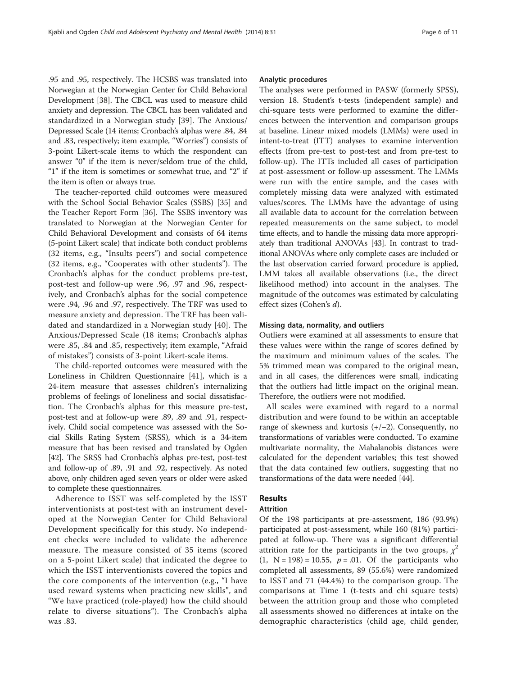.95 and .95, respectively. The HCSBS was translated into Norwegian at the Norwegian Center for Child Behavioral Development [[38](#page-10-0)]. The CBCL was used to measure child anxiety and depression. The CBCL has been validated and standardized in a Norwegian study [[39\]](#page-10-0). The Anxious/ Depressed Scale (14 items; Cronbach's alphas were .84, .84 and .83, respectively; item example, "Worries") consists of 3-point Likert-scale items to which the respondent can answer "0" if the item is never/seldom true of the child, "1" if the item is sometimes or somewhat true, and "2" if the item is often or always true.

The teacher-reported child outcomes were measured with the School Social Behavior Scales (SSBS) [\[35](#page-9-0)] and the Teacher Report Form [[36\]](#page-10-0). The SSBS inventory was translated to Norwegian at the Norwegian Center for Child Behavioral Development and consists of 64 items (5-point Likert scale) that indicate both conduct problems (32 items, e.g., "Insults peers") and social competence (32 items, e.g., "Cooperates with other students"). The Cronbach's alphas for the conduct problems pre-test, post-test and follow-up were .96, .97 and .96, respectively, and Cronbach's alphas for the social competence were .94, .96 and .97, respectively. The TRF was used to measure anxiety and depression. The TRF has been validated and standardized in a Norwegian study [\[40](#page-10-0)]. The Anxious/Depressed Scale (18 items; Cronbach's alphas were .85, .84 and .85, respectively; item example, "Afraid of mistakes") consists of 3-point Likert-scale items.

The child-reported outcomes were measured with the Loneliness in Children Questionnaire [[41\]](#page-10-0), which is a 24-item measure that assesses children's internalizing problems of feelings of loneliness and social dissatisfaction. The Cronbach's alphas for this measure pre-test, post-test and at follow-up were .89, .89 and .91, respectively. Child social competence was assessed with the Social Skills Rating System (SRSS), which is a 34-item measure that has been revised and translated by Ogden [[42](#page-10-0)]. The SRSS had Cronbach's alphas pre-test, post-test and follow-up of .89, .91 and .92, respectively. As noted above, only children aged seven years or older were asked to complete these questionnaires.

Adherence to ISST was self-completed by the ISST interventionists at post-test with an instrument developed at the Norwegian Center for Child Behavioral Development specifically for this study. No independent checks were included to validate the adherence measure. The measure consisted of 35 items (scored on a 5-point Likert scale) that indicated the degree to which the ISST interventionists covered the topics and the core components of the intervention (e.g., "I have used reward systems when practicing new skills", and "We have practiced (role-played) how the child should relate to diverse situations"). The Cronbach's alpha was .83.

### Analytic procedures

The analyses were performed in PASW (formerly SPSS), version 18. Student's t-tests (independent sample) and chi-square tests were performed to examine the differences between the intervention and comparison groups at baseline. Linear mixed models (LMMs) were used in intent-to-treat (ITT) analyses to examine intervention effects (from pre-test to post-test and from pre-test to follow-up). The ITTs included all cases of participation at post-assessment or follow-up assessment. The LMMs were run with the entire sample, and the cases with completely missing data were analyzed with estimated values/scores. The LMMs have the advantage of using all available data to account for the correlation between repeated measurements on the same subject, to model time effects, and to handle the missing data more appropriately than traditional ANOVAs [\[43](#page-10-0)]. In contrast to traditional ANOVAs where only complete cases are included or the last observation carried forward procedure is applied, LMM takes all available observations (i.e., the direct likelihood method) into account in the analyses. The magnitude of the outcomes was estimated by calculating effect sizes (Cohen's d).

# Missing data, normality, and outliers

Outliers were examined at all assessments to ensure that these values were within the range of scores defined by the maximum and minimum values of the scales. The 5% trimmed mean was compared to the original mean, and in all cases, the differences were small, indicating that the outliers had little impact on the original mean. Therefore, the outliers were not modified.

All scales were examined with regard to a normal distribution and were found to be within an acceptable range of skewness and kurtosis (+/−2). Consequently, no transformations of variables were conducted. To examine multivariate normality, the Mahalanobis distances were calculated for the dependent variables; this test showed that the data contained few outliers, suggesting that no transformations of the data were needed [[44](#page-10-0)].

# Results

# Attrition

Of the 198 participants at pre-assessment, 186 (93.9%) participated at post-assessment, while 160 (81%) participated at follow-up. There was a significant differential attrition rate for the participants in the two groups,  $\chi^2$  $(1, N = 198) = 10.55$ ,  $p = .01$ . Of the participants who completed all assessments, 89 (55.6%) were randomized to ISST and 71 (44.4%) to the comparison group. The comparisons at Time 1 (t-tests and chi square tests) between the attrition group and those who completed all assessments showed no differences at intake on the demographic characteristics (child age, child gender,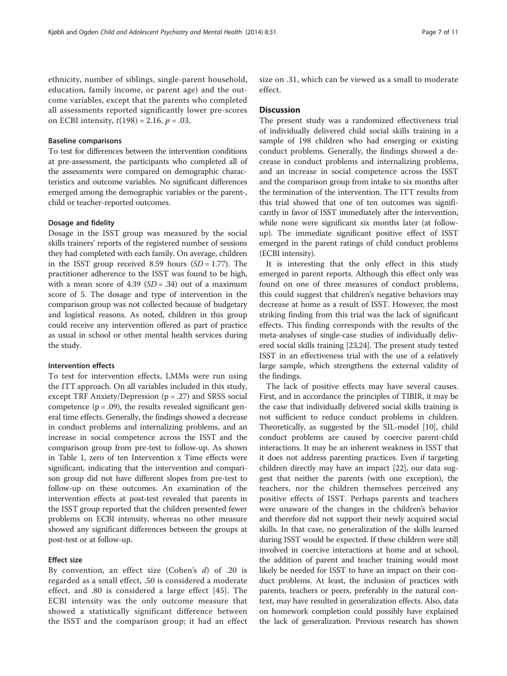ethnicity, number of siblings, single-parent household, education, family income, or parent age) and the outcome variables, except that the parents who completed all assessments reported significantly lower pre-scores on ECBI intensity,  $t(198) = 2.16$ ,  $p = .03$ .

#### Baseline comparisons

To test for differences between the intervention conditions at pre-assessment, the participants who completed all of the assessments were compared on demographic characteristics and outcome variables. No significant differences emerged among the demographic variables or the parent-, child or teacher-reported outcomes.

#### Dosage and fidelity

Dosage in the ISST group was measured by the social skills trainers' reports of the registered number of sessions they had completed with each family. On average, children in the ISST group received 8.59 hours  $(SD = 1.77)$ . The practitioner adherence to the ISST was found to be high, with a mean score of  $4.39$  (SD = .34) out of a maximum score of 5. The dosage and type of intervention in the comparison group was not collected because of budgetary and logistical reasons. As noted, children in this group could receive any intervention offered as part of practice as usual in school or other mental health services during the study.

## Intervention effects

To test for intervention effects, LMMs were run using the ITT approach. On all variables included in this study, except TRF Anxiety/Depression  $(p = .27)$  and SRSS social competence  $(p = .09)$ , the results revealed significant general time effects. Generally, the findings showed a decrease in conduct problems and internalizing problems, and an increase in social competence across the ISST and the comparison group from pre-test to follow-up. As shown in Table [1](#page-7-0), zero of ten Intervention x Time effects were significant, indicating that the intervention and comparison group did not have different slopes from pre-test to follow-up on these outcomes. An examination of the intervention effects at post-test revealed that parents in the ISST group reported that the children presented fewer problems on ECBI intensity, whereas no other measure showed any significant differences between the groups at post-test or at follow-up.

#### Effect size

By convention, an effect size (Cohen's  $d$ ) of .20 is regarded as a small effect, .50 is considered a moderate effect, and .80 is considered a large effect [\[45\]](#page-10-0). The ECBI intensity was the only outcome measure that showed a statistically significant difference between the ISST and the comparison group; it had an effect size on .31, which can be viewed as a small to moderate effect.

# **Discussion**

The present study was a randomized effectiveness trial of individually delivered child social skills training in a sample of 198 children who had emerging or existing conduct problems. Generally, the findings showed a decrease in conduct problems and internalizing problems, and an increase in social competence across the ISST and the comparison group from intake to six months after the termination of the intervention. The ITT results from this trial showed that one of ten outcomes was significantly in favor of ISST immediately after the intervention, while none were significant six months later (at followup). The immediate significant positive effect of ISST emerged in the parent ratings of child conduct problems (ECBI intensity).

It is interesting that the only effect in this study emerged in parent reports. Although this effect only was found on one of three measures of conduct problems, this could suggest that children's negative behaviors may decrease at home as a result of ISST. However, the most striking finding from this trial was the lack of significant effects. This finding corresponds with the results of the meta-analyses of single-case studies of individually delivered social skills training [[23,24](#page-9-0)]. The present study tested ISST in an effectiveness trial with the use of a relatively large sample, which strengthens the external validity of the findings.

The lack of positive effects may have several causes. First, and in accordance the principles of TIBIR, it may be the case that individually delivered social skills training is not sufficient to reduce conduct problems in children. Theoretically, as suggested by the SIL-model [[10](#page-9-0)], child conduct problems are caused by coercive parent-child interactions. It may be an inherent weakness in ISST that it does not address parenting practices. Even if targeting children directly may have an impact [[22](#page-9-0)], our data suggest that neither the parents (with one exception), the teachers, nor the children themselves perceived any positive effects of ISST. Perhaps parents and teachers were unaware of the changes in the children's behavior and therefore did not support their newly acquired social skills. In that case, no generalization of the skills learned during ISST would be expected. If these children were still involved in coercive interactions at home and at school, the addition of parent and teacher training would most likely be needed for ISST to have an impact on their conduct problems. At least, the inclusion of practices with parents, teachers or peers, preferably in the natural context, may have resulted in generalization effects. Also, data on homework completion could possibly have explained the lack of generalization. Previous research has shown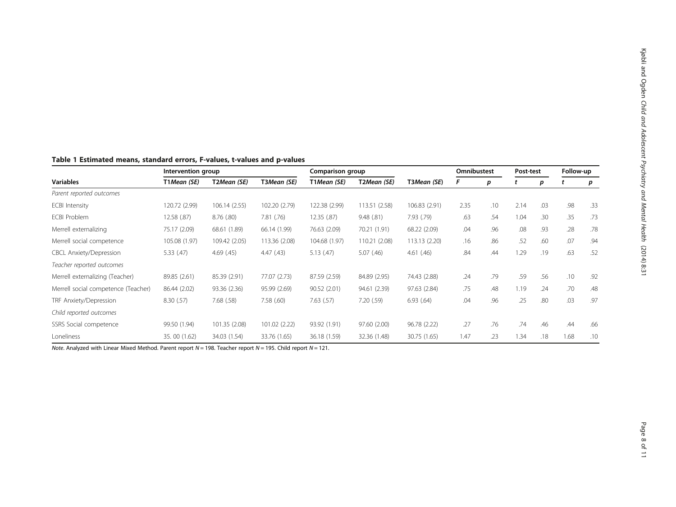| <b>Variables</b>                    | Intervention group |               |               | Comparison group |               |               | Omnibustest |     | Post-test |     | Follow-up |     |
|-------------------------------------|--------------------|---------------|---------------|------------------|---------------|---------------|-------------|-----|-----------|-----|-----------|-----|
|                                     | T1Mean (SE)        | T2Mean (SE)   | T3Mean (SE)   | T1Mean (SE)      | T2Mean (SE)   | T3Mean (SE)   |             | р   |           | p   |           | p   |
| Parent reported outcomes            |                    |               |               |                  |               |               |             |     |           |     |           |     |
| <b>ECBI</b> Intensity               | 120.72 (2.99)      | 106.14 (2.55) | 102.20 (2.79) | 122.38 (2.99)    | 113.51 (2.58) | 106.83 (2.91) | 2.35        | .10 | 2.14      | .03 | .98       | .33 |
| <b>ECBI Problem</b>                 | 12.58 (.87)        | 8.76 (.80)    | 7.81 (.76)    | 12.35 (.87)      | 9.48(.81)     | 7.93 (.79)    | .63         | .54 | 1.04      | .30 | .35       | .73 |
| Merrell externalizing               | 75.17 (2.09)       | 68.61 (1.89)  | 66.14 (1.99)  | 76.63 (2.09)     | 70.21 (1.91)  | 68.22 (2.09)  | .04         | .96 | .08       | .93 | .28       | .78 |
| Merrell social competence           | 105.08 (1.97)      | 109.42 (2.05) | 113.36 (2.08) | 104.68 (1.97)    | 110.21 (2.08) | 113.13 (2.20) | .16         | .86 | .52       | .60 | .07       | .94 |
| <b>CBCL Anxiety/Depression</b>      | 5.33(.47)          | 4.69(0.45)    | 4.47(0.43)    | 5.13(47)         | 5.07(46)      | 4.61(.46)     | .84         | .44 | 1.29      | .19 | .63       | .52 |
| Teacher reported outcomes           |                    |               |               |                  |               |               |             |     |           |     |           |     |
| Merrell externalizing (Teacher)     | 89.85 (2.61)       | 85.39 (2.91)  | 77.07 (2.73)  | 87.59 (2.59)     | 84.89 (2.95)  | 74.43 (2.88)  | .24         | .79 | .59       | .56 | .10       | .92 |
| Merrell social competence (Teacher) | 86.44 (2.02)       | 93.36 (2.36)  | 95.99 (2.69)  | 90.52 (2.01)     | 94.61 (2.39)  | 97.63 (2.84)  | .75         | .48 | 1.19      | .24 | .70       | .48 |
| TRF Anxiety/Depression              | 8.30(.57)          | 7.68(.58)     | 7.58(.60)     | 7.63(.57)        | 7.20(59)      | 6.93(.64)     | .04         | .96 | .25       | .80 | .03       | .97 |
| Child reported outcomes             |                    |               |               |                  |               |               |             |     |           |     |           |     |
| SSRS Social competence              | 99.50 (1.94)       | 101.35 (2.08) | 101.02 (2.22) | 93.92 (1.91)     | 97.60 (2.00)  | 96.78 (2.22)  | .27         | .76 | .74       | .46 | .44       | .66 |
| Loneliness                          | 35.00 (1.62)       | 34.03 (1.54)  | 33.76 (1.65)  | 36.18 (1.59)     | 32.36 (1.48)  | 30.75 (1.65)  | 1.47        | .23 | 1.34      | .18 | 1.68      | .10 |

# <span id="page-7-0"></span>Table 1 Estimated means, standard errors, F-values, t-values and p-values

Note. Analyzed with Linear Mixed Method. Parent report  $N = 198$ . Teacher report  $N = 195$ . Child report  $N = 121$ .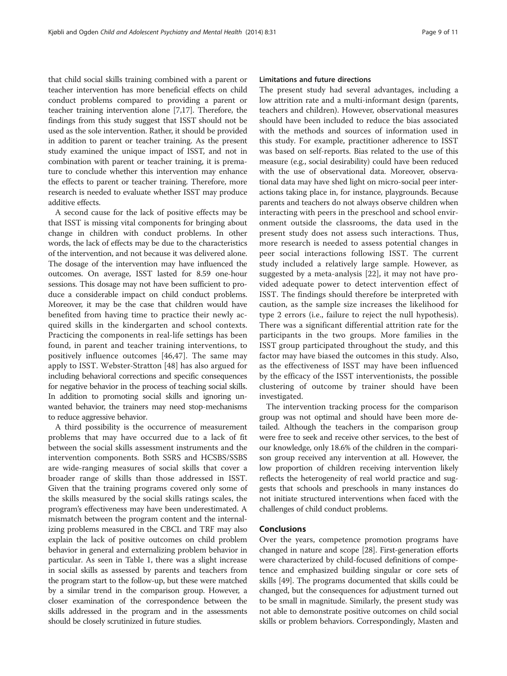that child social skills training combined with a parent or teacher intervention has more beneficial effects on child conduct problems compared to providing a parent or teacher training intervention alone [[7](#page-9-0),[17](#page-9-0)]. Therefore, the findings from this study suggest that ISST should not be used as the sole intervention. Rather, it should be provided in addition to parent or teacher training. As the present study examined the unique impact of ISST, and not in combination with parent or teacher training, it is premature to conclude whether this intervention may enhance the effects to parent or teacher training. Therefore, more research is needed to evaluate whether ISST may produce additive effects.

A second cause for the lack of positive effects may be that ISST is missing vital components for bringing about change in children with conduct problems. In other words, the lack of effects may be due to the characteristics of the intervention, and not because it was delivered alone. The dosage of the intervention may have influenced the outcomes. On average, ISST lasted for 8.59 one-hour sessions. This dosage may not have been sufficient to produce a considerable impact on child conduct problems. Moreover, it may be the case that children would have benefited from having time to practice their newly acquired skills in the kindergarten and school contexts. Practicing the components in real-life settings has been found, in parent and teacher training interventions, to positively influence outcomes [[46,47\]](#page-10-0). The same may apply to ISST. Webster-Stratton [\[48](#page-10-0)] has also argued for including behavioral corrections and specific consequences for negative behavior in the process of teaching social skills. In addition to promoting social skills and ignoring unwanted behavior, the trainers may need stop-mechanisms to reduce aggressive behavior.

A third possibility is the occurrence of measurement problems that may have occurred due to a lack of fit between the social skills assessment instruments and the intervention components. Both SSRS and HCSBS/SSBS are wide-ranging measures of social skills that cover a broader range of skills than those addressed in ISST. Given that the training programs covered only some of the skills measured by the social skills ratings scales, the program's effectiveness may have been underestimated. A mismatch between the program content and the internalizing problems measured in the CBCL and TRF may also explain the lack of positive outcomes on child problem behavior in general and externalizing problem behavior in particular. As seen in Table [1](#page-7-0), there was a slight increase in social skills as assessed by parents and teachers from the program start to the follow-up, but these were matched by a similar trend in the comparison group. However, a closer examination of the correspondence between the skills addressed in the program and in the assessments should be closely scrutinized in future studies.

## Limitations and future directions

The present study had several advantages, including a low attrition rate and a multi-informant design (parents, teachers and children). However, observational measures should have been included to reduce the bias associated with the methods and sources of information used in this study. For example, practitioner adherence to ISST was based on self-reports. Bias related to the use of this measure (e.g., social desirability) could have been reduced with the use of observational data. Moreover, observational data may have shed light on micro-social peer interactions taking place in, for instance, playgrounds. Because parents and teachers do not always observe children when interacting with peers in the preschool and school environment outside the classrooms, the data used in the present study does not assess such interactions. Thus, more research is needed to assess potential changes in peer social interactions following ISST. The current study included a relatively large sample. However, as suggested by a meta-analysis [\[22](#page-9-0)], it may not have provided adequate power to detect intervention effect of ISST. The findings should therefore be interpreted with caution, as the sample size increases the likelihood for type 2 errors (i.e., failure to reject the null hypothesis). There was a significant differential attrition rate for the participants in the two groups. More families in the ISST group participated throughout the study, and this factor may have biased the outcomes in this study. Also, as the effectiveness of ISST may have been influenced by the efficacy of the ISST interventionists, the possible clustering of outcome by trainer should have been investigated.

The intervention tracking process for the comparison group was not optimal and should have been more detailed. Although the teachers in the comparison group were free to seek and receive other services, to the best of our knowledge, only 18.6% of the children in the comparison group received any intervention at all. However, the low proportion of children receiving intervention likely reflects the heterogeneity of real world practice and suggests that schools and preschools in many instances do not initiate structured interventions when faced with the challenges of child conduct problems.

## Conclusions

Over the years, competence promotion programs have changed in nature and scope [\[28\]](#page-9-0). First-generation efforts were characterized by child-focused definitions of competence and emphasized building singular or core sets of skills [[49](#page-10-0)]. The programs documented that skills could be changed, but the consequences for adjustment turned out to be small in magnitude. Similarly, the present study was not able to demonstrate positive outcomes on child social skills or problem behaviors. Correspondingly, Masten and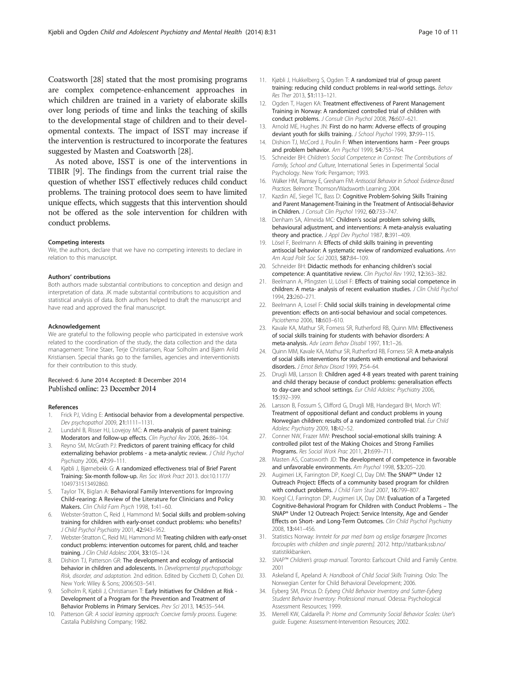<span id="page-9-0"></span>Coatsworth [28] stated that the most promising programs are complex competence-enhancement approaches in which children are trained in a variety of elaborate skills over long periods of time and links the teaching of skills to the developmental stage of children and to their developmental contexts. The impact of ISST may increase if the intervention is restructured to incorporate the features suggested by Masten and Coatsworth [28].

As noted above, ISST is one of the interventions in TIBIR [9]. The findings from the current trial raise the question of whether ISST effectively reduces child conduct problems. The training protocol does seem to have limited unique effects, which suggests that this intervention should not be offered as the sole intervention for children with conduct problems.

#### Competing interests

We, the authors, declare that we have no competing interests to declare in relation to this manuscript.

#### Authors' contributions

Both authors made substantial contributions to conception and design and interpretation of data. JK made substantial contributions to acquisition and statistical analysis of data. Both authors helped to draft the manuscript and have read and approved the final manuscript.

#### Acknowledgement

We are grateful to the following people who participated in extensive work related to the coordination of the study, the data collection and the data management: Trine Staer, Terje Christiansen, Roar Solholm and Bjørn Arild Kristiansen. Special thanks go to the families, agencies and interventionists for their contribution to this study.

## Received: 6 June 2014 Accepted: 8 December 2014 Published online: 23 December 2014

#### References

- 1. Frick PJ, Viding E: Antisocial behavior from a developmental perspective. Dev psychopathol 2009, 21:1111–1131.
- 2. Lundahl B, Risser HJ, Lovejoy MC: A meta-analysis of parent training: Moderators and follow-up effects. Clin Psychol Rev 2006, 26:86–104.
- Reyno SM, McGrath PJ: Predictors of parent training efficacy for child externalizing behavior problems - a meta-analytic review. J Child Psychol Psychiatry 2006, 47:99–111.
- 4. Kjøbli J, Bjørnebekk G: A randomized effectiveness trial of Brief Parent Training: Six-month follow-up. Res Soc Work Pract 2013. doi:10.1177/ 1049731513492860.
- Taylor TK, Biglan A: Behavioral Family Interventions for Improving Child-rearing: A Review of the Literature for Clinicians and Policy Makers. Clin Child Fam Psych 1998, 1:41–60.
- 6. Webster-Stratton C, Reid J, Hammond M: Social skills and problem-solving training for children with early-onset conduct problems: who benefits? J Child Psychol Psychiatry 2001, 42:943–952.
- Webster-Stratton C, Reid MJ, Hammond M: Treating children with early-onset conduct problems: intervention outcomes for parent, child, and teacher training. J Clin Child Adolesc 2004, 33:105–124.
- 8. Dishion TJ, Patterson GR: The development and ecology of antisocial behavior in children and adolescents. In Developmental psychopathology: Risk, disorder, and adaptation. 2nd edition. Edited by Cicchetti D, Cohen DJ. New York: Wiley & Sons; 2006:503–541.
- Solholm R, Kjøbli J, Christiansen T: Early Initiatives for Children at Risk -Development of a Program for the Prevention and Treatment of Behavior Problems in Primary Services. Prev Sci 2013, 14:535–544.
- 10. Patterson GR: A social learning approach: Coercive family process. Eugene: Castalia Publishing Company; 1982.
- 11. Kjøbli J, Hukkelberg S, Ogden T: A randomized trial of group parent training: reducing child conduct problems in real-world settings. Behav Res Ther 2013, 51:113–121.
- 12. Ogden T, Hagen KA: Treatment effectiveness of Parent Management Training in Norway: A randomized controlled trial of children with conduct problems. J Consult Clin Psychol 2008, 76:607–621.
- 13. Arnold ME, Hughes JN: First do no harm: Adverse effects of grouping deviant youth for skills training. J School Psychol 1999, 37:99-115
- 14. Dishion TJ, McCord J, Poulin F: When interventions harm Peer groups and problem behavior. Am Psychol 1999, 54:755–764.
- 15. Schneider BH: Children's Social Competence in Context: The Contributions of Family, School and Culture, International Series in Experimental Social Psychology. New York: Pergamon; 1993.
- 16. Walker HM, Ramsey E, Gresham FM: Antisocial Behavior in School: Evidence-Based Practices. Belmont: Thomson/Wadsworth Learning; 2004.
- 17. Kazdin AE, Siegel TC, Bass D: Cognitive Problem-Solving Skills Training and Parent Management-Training in the Treatment of Antisocial-Behavior in Children. J Consult Clin Psychol 1992, 60:733–747.
- 18. Denham SA, Almeida MC: Children's social problem solving skills, behavioural adjustment, and interventions: A meta-analysis evaluating theory and practice. J Appl Dev Psychol 1987, 8:391-409.
- 19. Lösel F, Beelmann A: Effects of child skills training in preventing antisocial behavior: A systematic review of randomized evaluations. Ann Am Acad Polit Soc Sci 2003, 587:84–109.
- 20. Schneider BH: Didactic methods for enhancing children's social competence: A quantitative review. Clin Psychol Rev 1992, 12:363–382.
- 21. Beelmann A, Pfingsten U, Lösel F: Effects of training social competence in children: A meta- analysis of recent evaluation studies. J Clin Child Psychol 1994, 23:260–271.
- 22. Beelmann A, Losel F: Child social skills training in developmental crime prevention: effects on anti-social behaviour and social competences. Psciothema 2006, 18:603–610.
- 23. Kavale KA, Mathur SR, Forness SR, Rutherford RB, Quinn MM: Effectiveness of social skills training for students with behavior disorders: A meta-analysis. Adv Learn Behav Disabil 1997, 11:1–26.
- 24. Quinn MM, Kavale KA, Mathur SR, Rutherford RB, Forness SR: A meta-analysis of social skills interventions for students with emotional and behavioral disorders. J Emot Behav Disord 1999, 7:54–64.
- 25. Drugli MB, Larsson B: Children aged 4-8 years treated with parent training and child therapy because of conduct problems: generalisation effects to day-care and school settings. Eur Child Adolesc Psychiatry 2006, 15:392–399.
- 26. Larsson B, Fossum S, Clifford G, Drugli MB, Handegard BH, Morch WT: Treatment of oppositional defiant and conduct problems in young Norwegian children: results of a randomized controlled trial. Eur Child Adolesc Psychiatry 2009, 18:42–52.
- 27. Conner NW, Frazer MW: Preschool social-emotional skills training: A controlled pilot test of the Making Choices and Strong Families Programs. Res Social Work Prac 2011, 21:699–711.
- 28. Masten AS, Coatsworth JD: The development of competence in favorable and unfavorable environments. Am Psychol 1998, 53:205–220.
- 29. Augimeri LK, Farrington DP, Koegl CJ, Day DM: The SNAP™ Under 12 Outreach Project: Effects of a community based program for children with conduct problems. J Child Fam Stud 2007, 16:799–807.
- 30. Koegl CJ, Farrington DP, Augimeri LK, Day DM: Evaluation of a Targeted Cognitive-Behavioral Program for Children with Conduct Problems – The SNAP® Under 12 Outreach Project: Service Intensity, Age and Gender Effects on Short- and Long-Term Outcomes. Clin Child Psychol Psychiatry 2008, 13:441–456.
- 31. Statistics Norway: Inntekt for par med barn og enslige forsørgere [Incomes forcouples with children and single parents]. 2012. [http://statbank.ssb.no/](http://statbank.ssb.no/statistikkbanken) [statistikkbanken](http://statbank.ssb.no/statistikkbanken).
- 32. SNAP™ Children's group manual. Toronto: Earlscourt Child and Family Centre. 2001
- 33. Askeland E, Apeland A: Handbook of Child Social Skills Training. Oslo: The Norwegian Center for Child Behavioral Development; 2006.
- 34. Eyberg SM, Pincus D: Eyberg Child Behavior Inventory and Sutter-Eyberg Student Behavior Inventory: Professional manual. Odessa: Psychological Assessment Resources; 1999.
- 35. Merrell KW, Caldarella P: Home and Community Social Behavior Scales: User's guide. Eugene: Assessment-Intervention Resources; 2002.